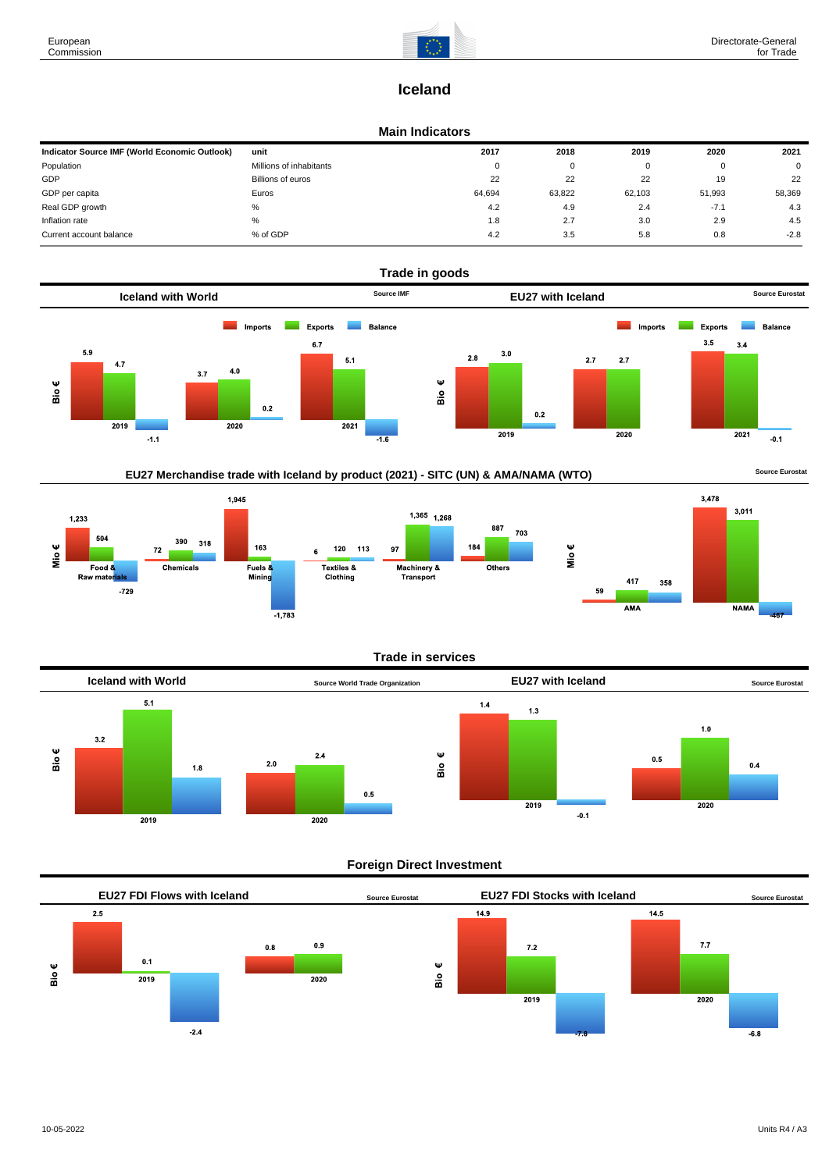

# **Iceland**

#### **Main Indicators**

| Indicator Source IMF (World Economic Outlook) | unit                    | 2017     | 2018   | 2019   | 2020   | 2021        |
|-----------------------------------------------|-------------------------|----------|--------|--------|--------|-------------|
| Population                                    | Millions of inhabitants | $\Omega$ | 0      |        |        | $\mathbf 0$ |
| GDP                                           | Billions of euros       | 22       | 22     | 22     | 19     | 22          |
| GDP per capita                                | Euros                   | 64.694   | 63,822 | 62.103 | 51.993 | 58,369      |
| Real GDP growth                               | %                       | 4.2      | 4.9    | 2.4    | $-7.1$ | 4.3         |
| Inflation rate                                | %                       | 1.8      | 2.7    | 3.0    | 2.9    | 4.5         |
| Current account balance                       | % of GDP                | 4.2      | 3.5    | 5.8    | 0.8    | $-2.8$      |



## EU27 Merchandise trade with Iceland by product (2021) - SITC (UN) & AMA/NAMA (WTO) **Source Eurostat**



### **Trade in services**



### **Foreign Direct Investment**